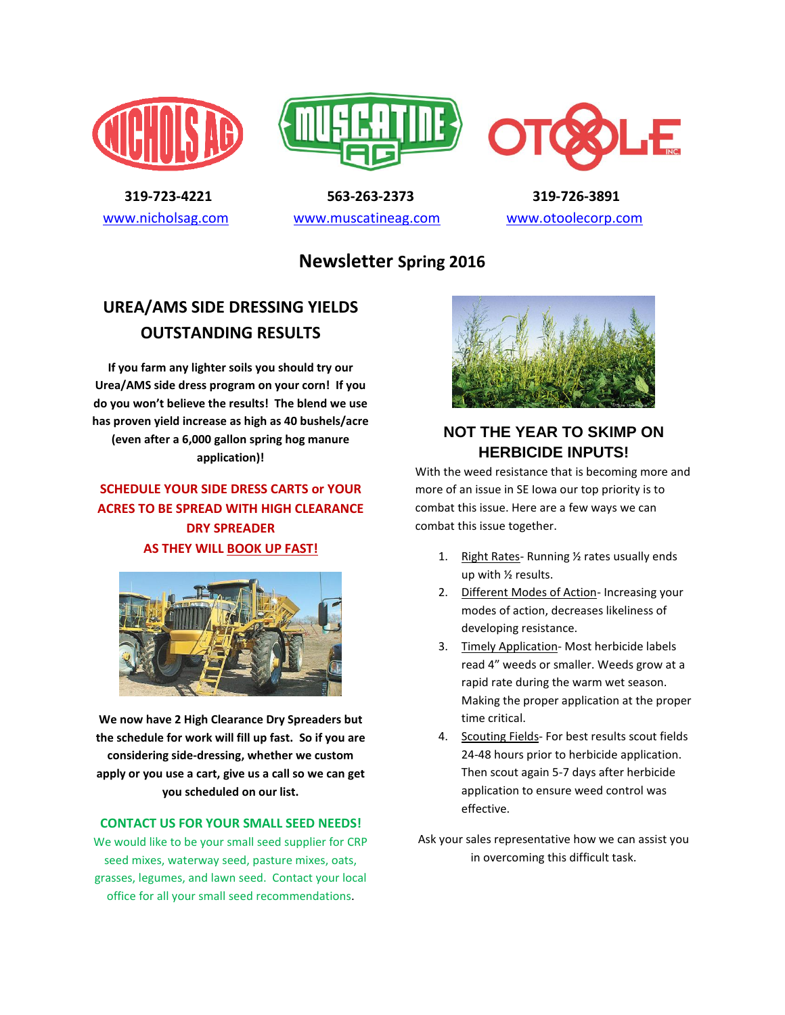





 **319-723-4221 563-263-2373 319-726-3891**  [www.nicholsag.com](http://www.nicholsag.com/) [www.muscatineag.com](http://www.muscatineag.com/) [www.otoolecorp.com](http://www.otoolecorp.com/)

**Newsletter Spring 2016**

## **UREA/AMS SIDE DRESSING YIELDS OUTSTANDING RESULTS**

**If you farm any lighter soils you should try our Urea/AMS side dress program on your corn! If you do you won't believe the results! The blend we use has proven yield increase as high as 40 bushels/acre (even after a 6,000 gallon spring hog manure application)!**

### **SCHEDULE YOUR SIDE DRESS CARTS or YOUR ACRES TO BE SPREAD WITH HIGH CLEARANCE DRY SPREADER AS THEY WILL BOOK UP FAST!**



**We now have 2 High Clearance Dry Spreaders but the schedule for work will fill up fast. So if you are considering side-dressing, whether we custom apply or you use a cart, give us a call so we can get you scheduled on our list.**

#### **CONTACT US FOR YOUR SMALL SEED NEEDS!**

We would like to be your small seed supplier for CRP seed mixes, waterway seed, pasture mixes, oats, grasses, legumes, and lawn seed. Contact your local office for all your small seed recommendations.



### **NOT THE YEAR TO SKIMP ON HERBICIDE INPUTS!**

With the weed resistance that is becoming more and more of an issue in SE Iowa our top priority is to combat this issue. Here are a few ways we can combat this issue together.

- 1. Right Rates- Running 1/2 rates usually ends up with ½ results.
- 2. Different Modes of Action- Increasing your modes of action, decreases likeliness of developing resistance.
- 3. Timely Application- Most herbicide labels read 4" weeds or smaller. Weeds grow at a rapid rate during the warm wet season. Making the proper application at the proper time critical.
- 4. Scouting Fields- For best results scout fields 24-48 hours prior to herbicide application. Then scout again 5-7 days after herbicide application to ensure weed control was effective.
- Ask your sales representative how we can assist you in overcoming this difficult task.